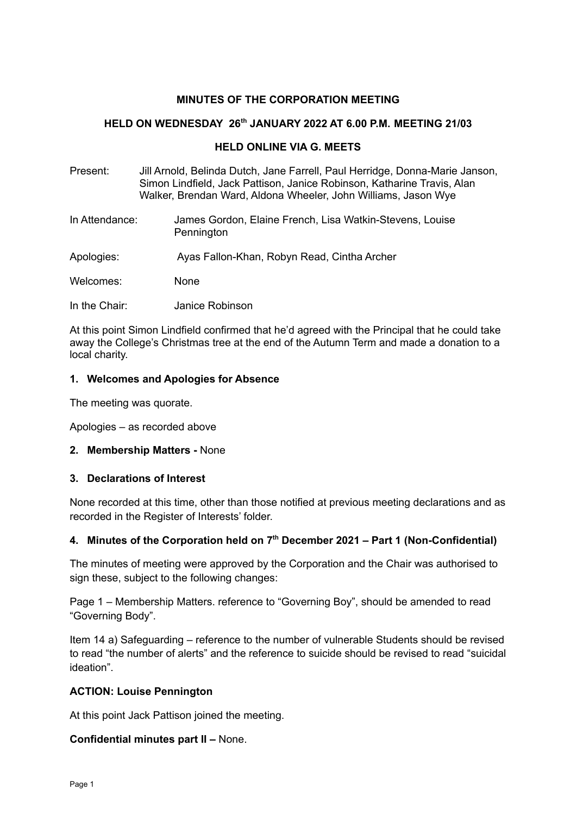### **MINUTES OF THE CORPORATION MEETING**

#### **HELD ON WEDNESDAY 26 th JANUARY 2022 AT 6.00 P.M. MEETING 21/03**

#### **HELD ONLINE VIA G. MEETS**

- Present: Jill Arnold, Belinda Dutch, Jane Farrell, Paul Herridge, Donna-Marie Janson, Simon Lindfield, Jack Pattison, Janice Robinson, Katharine Travis, Alan Walker, Brendan Ward, Aldona Wheeler, John Williams, Jason Wye
- In Attendance: James Gordon, Elaine French, Lisa Watkin-Stevens, Louise **Pennington**
- Apologies: Ayas Fallon-Khan, Robyn Read, Cintha Archer

Welcomes: None

In the Chair: Janice Robinson

At this point Simon Lindfield confirmed that he'd agreed with the Principal that he could take away the College's Christmas tree at the end of the Autumn Term and made a donation to a local charity.

#### **1. Welcomes and Apologies for Absence**

The meeting was quorate.

Apologies – as recorded above

**2. Membership Matters -** None

#### **3. Declarations of Interest**

None recorded at this time, other than those notified at previous meeting declarations and as recorded in the Register of Interests' folder.

#### **4. Minutes of the Corporation held on 7 th December 2021 – Part 1 (Non-Confidential)**

The minutes of meeting were approved by the Corporation and the Chair was authorised to sign these, subject to the following changes:

Page 1 – Membership Matters. reference to "Governing Boy", should be amended to read "Governing Body".

Item 14 a) Safeguarding – reference to the number of vulnerable Students should be revised to read "the number of alerts" and the reference to suicide should be revised to read "suicidal ideation".

#### **ACTION: Louise Pennington**

At this point Jack Pattison joined the meeting.

#### **Confidential minutes part II –** None.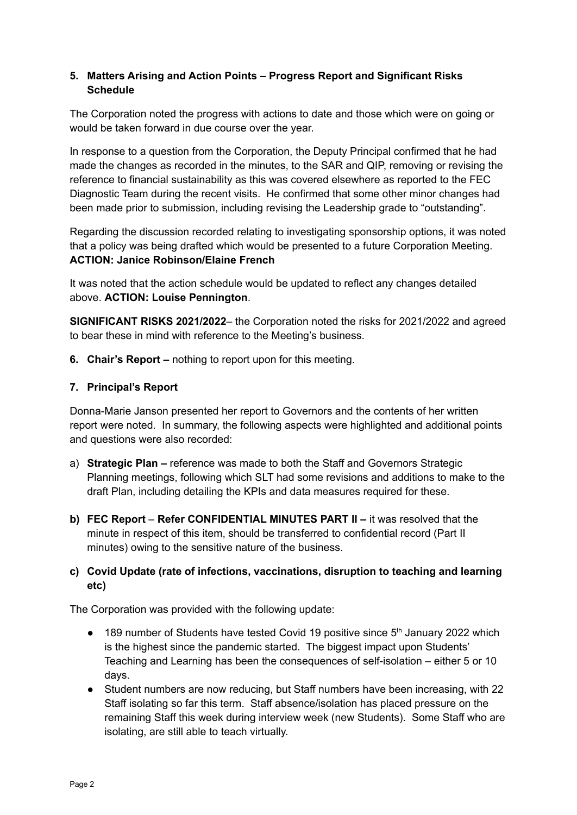### **5. Matters Arising and Action Points – Progress Report and Significant Risks Schedule**

The Corporation noted the progress with actions to date and those which were on going or would be taken forward in due course over the year.

In response to a question from the Corporation, the Deputy Principal confirmed that he had made the changes as recorded in the minutes, to the SAR and QIP, removing or revising the reference to financial sustainability as this was covered elsewhere as reported to the FEC Diagnostic Team during the recent visits. He confirmed that some other minor changes had been made prior to submission, including revising the Leadership grade to "outstanding".

Regarding the discussion recorded relating to investigating sponsorship options, it was noted that a policy was being drafted which would be presented to a future Corporation Meeting. **ACTION: Janice Robinson/Elaine French**

It was noted that the action schedule would be updated to reflect any changes detailed above. **ACTION: Louise Pennington**.

**SIGNIFICANT RISKS 2021/2022**– the Corporation noted the risks for 2021/2022 and agreed to bear these in mind with reference to the Meeting's business.

**6. Chair's Report –** nothing to report upon for this meeting.

### **7. Principal's Report**

Donna-Marie Janson presented her report to Governors and the contents of her written report were noted. In summary, the following aspects were highlighted and additional points and questions were also recorded:

- a) **Strategic Plan –** reference was made to both the Staff and Governors Strategic Planning meetings, following which SLT had some revisions and additions to make to the draft Plan, including detailing the KPIs and data measures required for these.
- **b) FEC Report Refer CONFIDENTIAL MINUTES PART II –** it was resolved that the minute in respect of this item, should be transferred to confidential record (Part II minutes) owing to the sensitive nature of the business.

# **c) Covid Update (rate of infections, vaccinations, disruption to teaching and learning etc)**

The Corporation was provided with the following update:

- $\bullet$  189 number of Students have tested Covid 19 positive since  $5<sup>th</sup>$  January 2022 which is the highest since the pandemic started. The biggest impact upon Students' Teaching and Learning has been the consequences of self-isolation – either 5 or 10 days.
- Student numbers are now reducing, but Staff numbers have been increasing, with 22 Staff isolating so far this term. Staff absence/isolation has placed pressure on the remaining Staff this week during interview week (new Students). Some Staff who are isolating, are still able to teach virtually.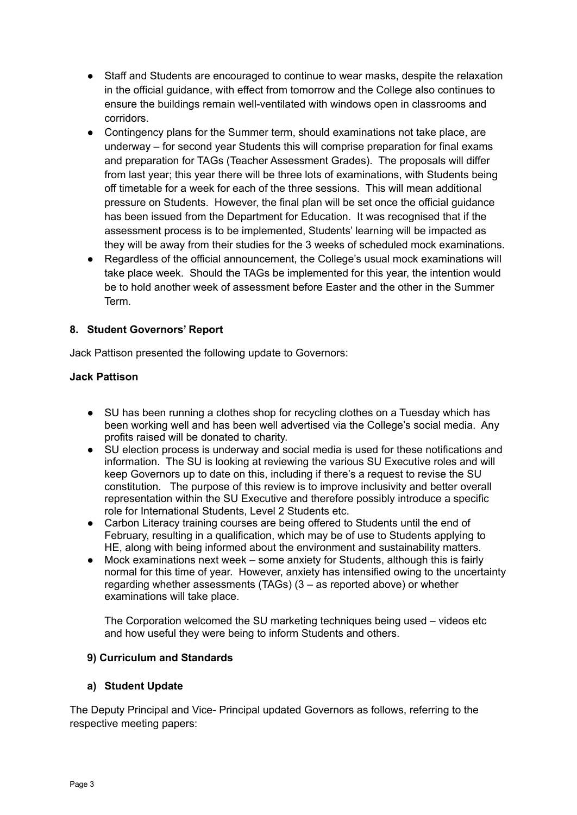- Staff and Students are encouraged to continue to wear masks, despite the relaxation in the official guidance, with effect from tomorrow and the College also continues to ensure the buildings remain well-ventilated with windows open in classrooms and corridors.
- Contingency plans for the Summer term, should examinations not take place, are underway – for second year Students this will comprise preparation for final exams and preparation for TAGs (Teacher Assessment Grades). The proposals will differ from last year; this year there will be three lots of examinations, with Students being off timetable for a week for each of the three sessions. This will mean additional pressure on Students. However, the final plan will be set once the official guidance has been issued from the Department for Education. It was recognised that if the assessment process is to be implemented, Students' learning will be impacted as they will be away from their studies for the 3 weeks of scheduled mock examinations.
- Regardless of the official announcement, the College's usual mock examinations will take place week. Should the TAGs be implemented for this year, the intention would be to hold another week of assessment before Easter and the other in the Summer Term.

### **8. Student Governors' Report**

Jack Pattison presented the following update to Governors:

### **Jack Pattison**

- SU has been running a clothes shop for recycling clothes on a Tuesday which has been working well and has been well advertised via the College's social media. Any profits raised will be donated to charity.
- SU election process is underway and social media is used for these notifications and information. The SU is looking at reviewing the various SU Executive roles and will keep Governors up to date on this, including if there's a request to revise the SU constitution. The purpose of this review is to improve inclusivity and better overall representation within the SU Executive and therefore possibly introduce a specific role for International Students, Level 2 Students etc.
- Carbon Literacy training courses are being offered to Students until the end of February, resulting in a qualification, which may be of use to Students applying to HE, along with being informed about the environment and sustainability matters.
- Mock examinations next week some anxiety for Students, although this is fairly normal for this time of year. However, anxiety has intensified owing to the uncertainty regarding whether assessments (TAGs) (3 – as reported above) or whether examinations will take place.

The Corporation welcomed the SU marketing techniques being used – videos etc and how useful they were being to inform Students and others.

#### **9) Curriculum and Standards**

#### **a) Student Update**

The Deputy Principal and Vice- Principal updated Governors as follows, referring to the respective meeting papers: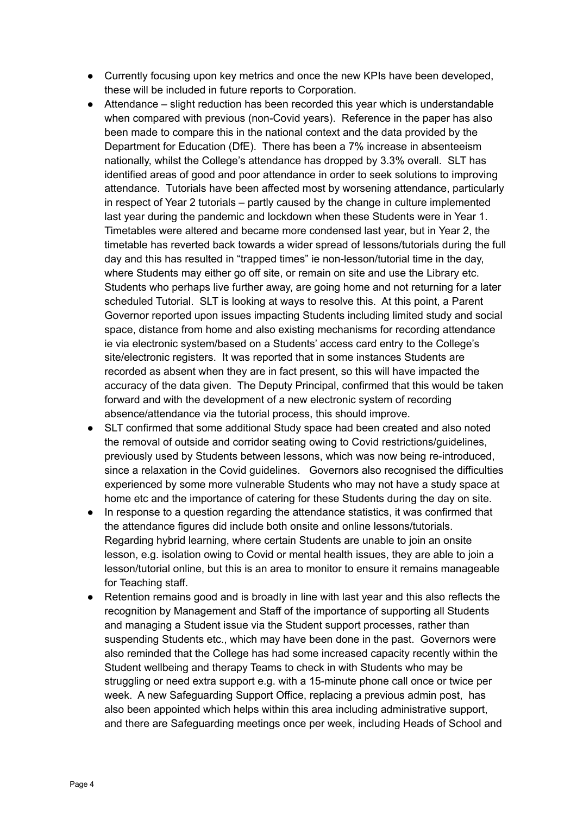- Currently focusing upon key metrics and once the new KPIs have been developed, these will be included in future reports to Corporation.
- Attendance slight reduction has been recorded this year which is understandable when compared with previous (non-Covid years). Reference in the paper has also been made to compare this in the national context and the data provided by the Department for Education (DfE). There has been a 7% increase in absenteeism nationally, whilst the College's attendance has dropped by 3.3% overall. SLT has identified areas of good and poor attendance in order to seek solutions to improving attendance. Tutorials have been affected most by worsening attendance, particularly in respect of Year 2 tutorials – partly caused by the change in culture implemented last year during the pandemic and lockdown when these Students were in Year 1. Timetables were altered and became more condensed last year, but in Year 2, the timetable has reverted back towards a wider spread of lessons/tutorials during the full day and this has resulted in "trapped times" ie non-lesson/tutorial time in the day, where Students may either go off site, or remain on site and use the Library etc. Students who perhaps live further away, are going home and not returning for a later scheduled Tutorial. SLT is looking at ways to resolve this. At this point, a Parent Governor reported upon issues impacting Students including limited study and social space, distance from home and also existing mechanisms for recording attendance ie via electronic system/based on a Students' access card entry to the College's site/electronic registers. It was reported that in some instances Students are recorded as absent when they are in fact present, so this will have impacted the accuracy of the data given. The Deputy Principal, confirmed that this would be taken forward and with the development of a new electronic system of recording absence/attendance via the tutorial process, this should improve.
- SLT confirmed that some additional Study space had been created and also noted the removal of outside and corridor seating owing to Covid restrictions/guidelines, previously used by Students between lessons, which was now being re-introduced, since a relaxation in the Covid guidelines. Governors also recognised the difficulties experienced by some more vulnerable Students who may not have a study space at home etc and the importance of catering for these Students during the day on site.
- In response to a question regarding the attendance statistics, it was confirmed that the attendance figures did include both onsite and online lessons/tutorials. Regarding hybrid learning, where certain Students are unable to join an onsite lesson, e.g. isolation owing to Covid or mental health issues, they are able to join a lesson/tutorial online, but this is an area to monitor to ensure it remains manageable for Teaching staff.
- Retention remains good and is broadly in line with last year and this also reflects the recognition by Management and Staff of the importance of supporting all Students and managing a Student issue via the Student support processes, rather than suspending Students etc., which may have been done in the past. Governors were also reminded that the College has had some increased capacity recently within the Student wellbeing and therapy Teams to check in with Students who may be struggling or need extra support e.g. with a 15-minute phone call once or twice per week. A new Safeguarding Support Office, replacing a previous admin post, has also been appointed which helps within this area including administrative support, and there are Safeguarding meetings once per week, including Heads of School and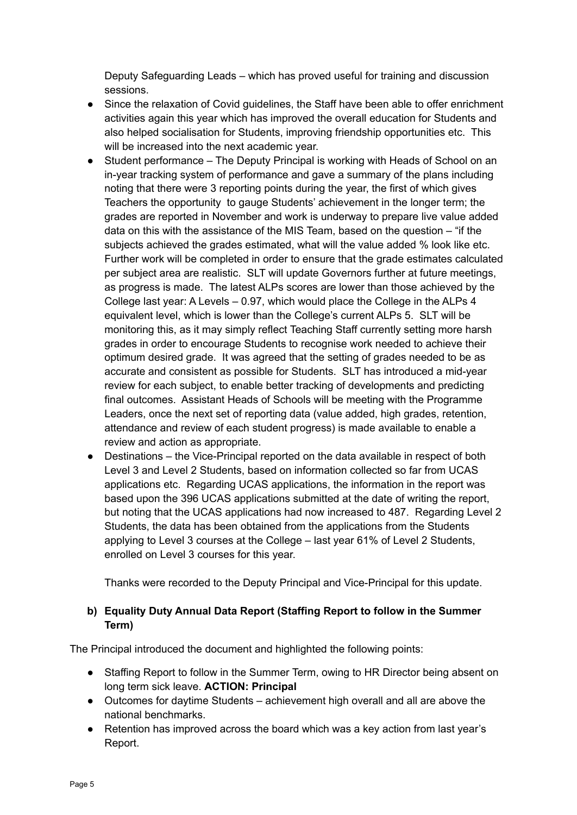Deputy Safeguarding Leads – which has proved useful for training and discussion sessions.

- Since the relaxation of Covid guidelines, the Staff have been able to offer enrichment activities again this year which has improved the overall education for Students and also helped socialisation for Students, improving friendship opportunities etc. This will be increased into the next academic year.
- Student performance The Deputy Principal is working with Heads of School on an in-year tracking system of performance and gave a summary of the plans including noting that there were 3 reporting points during the year, the first of which gives Teachers the opportunity to gauge Students' achievement in the longer term; the grades are reported in November and work is underway to prepare live value added data on this with the assistance of the MIS Team, based on the question – "if the subjects achieved the grades estimated, what will the value added % look like etc. Further work will be completed in order to ensure that the grade estimates calculated per subject area are realistic. SLT will update Governors further at future meetings, as progress is made. The latest ALPs scores are lower than those achieved by the College last year: A Levels – 0.97, which would place the College in the ALPs 4 equivalent level, which is lower than the College's current ALPs 5. SLT will be monitoring this, as it may simply reflect Teaching Staff currently setting more harsh grades in order to encourage Students to recognise work needed to achieve their optimum desired grade. It was agreed that the setting of grades needed to be as accurate and consistent as possible for Students. SLT has introduced a mid-year review for each subject, to enable better tracking of developments and predicting final outcomes. Assistant Heads of Schools will be meeting with the Programme Leaders, once the next set of reporting data (value added, high grades, retention, attendance and review of each student progress) is made available to enable a review and action as appropriate.
- Destinations the Vice-Principal reported on the data available in respect of both Level 3 and Level 2 Students, based on information collected so far from UCAS applications etc. Regarding UCAS applications, the information in the report was based upon the 396 UCAS applications submitted at the date of writing the report, but noting that the UCAS applications had now increased to 487. Regarding Level 2 Students, the data has been obtained from the applications from the Students applying to Level 3 courses at the College – last year 61% of Level 2 Students, enrolled on Level 3 courses for this year.

Thanks were recorded to the Deputy Principal and Vice-Principal for this update.

# **b) Equality Duty Annual Data Report (Staffing Report to follow in the Summer Term)**

The Principal introduced the document and highlighted the following points:

- Staffing Report to follow in the Summer Term, owing to HR Director being absent on long term sick leave. **ACTION: Principal**
- Outcomes for daytime Students achievement high overall and all are above the national benchmarks.
- Retention has improved across the board which was a key action from last year's Report.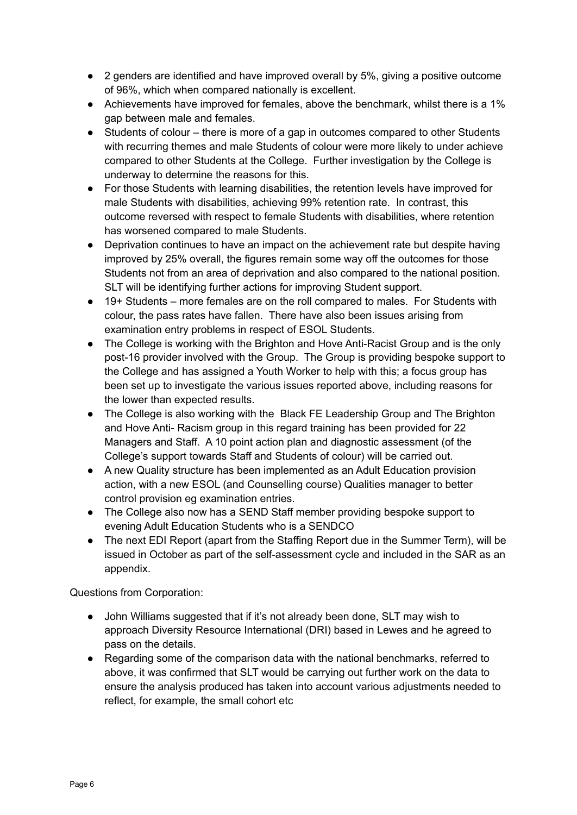- 2 genders are identified and have improved overall by 5%, giving a positive outcome of 96%, which when compared nationally is excellent.
- Achievements have improved for females, above the benchmark, whilst there is a 1% gap between male and females.
- Students of colour there is more of a gap in outcomes compared to other Students with recurring themes and male Students of colour were more likely to under achieve compared to other Students at the College. Further investigation by the College is underway to determine the reasons for this.
- For those Students with learning disabilities, the retention levels have improved for male Students with disabilities, achieving 99% retention rate. In contrast, this outcome reversed with respect to female Students with disabilities, where retention has worsened compared to male Students.
- Deprivation continues to have an impact on the achievement rate but despite having improved by 25% overall, the figures remain some way off the outcomes for those Students not from an area of deprivation and also compared to the national position. SLT will be identifying further actions for improving Student support.
- 19+ Students more females are on the roll compared to males. For Students with colour, the pass rates have fallen. There have also been issues arising from examination entry problems in respect of ESOL Students.
- The College is working with the Brighton and Hove Anti-Racist Group and is the only post-16 provider involved with the Group. The Group is providing bespoke support to the College and has assigned a Youth Worker to help with this; a focus group has been set up to investigate the various issues reported above, including reasons for the lower than expected results.
- The College is also working with the Black FE Leadership Group and The Brighton and Hove Anti- Racism group in this regard training has been provided for 22 Managers and Staff. A 10 point action plan and diagnostic assessment (of the College's support towards Staff and Students of colour) will be carried out.
- A new Quality structure has been implemented as an Adult Education provision action, with a new ESOL (and Counselling course) Qualities manager to better control provision eg examination entries.
- The College also now has a SEND Staff member providing bespoke support to evening Adult Education Students who is a SENDCO
- The next EDI Report (apart from the Staffing Report due in the Summer Term), will be issued in October as part of the self-assessment cycle and included in the SAR as an appendix.

Questions from Corporation:

- John Williams suggested that if it's not already been done, SLT may wish to approach Diversity Resource International (DRI) based in Lewes and he agreed to pass on the details.
- Regarding some of the comparison data with the national benchmarks, referred to above, it was confirmed that SLT would be carrying out further work on the data to ensure the analysis produced has taken into account various adjustments needed to reflect, for example, the small cohort etc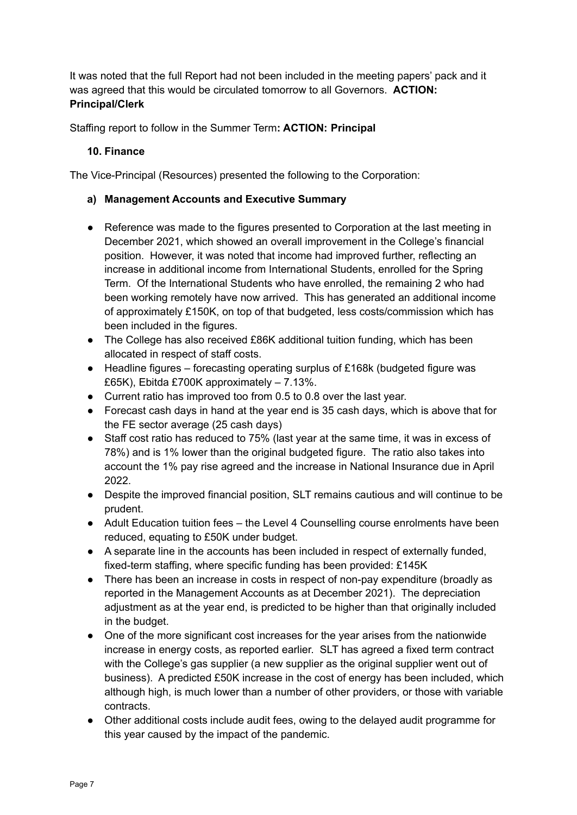It was noted that the full Report had not been included in the meeting papers' pack and it was agreed that this would be circulated tomorrow to all Governors. **ACTION: Principal/Clerk**

Staffing report to follow in the Summer Term**: ACTION: Principal**

### **10. Finance**

The Vice-Principal (Resources) presented the following to the Corporation:

### **a) Management Accounts and Executive Summary**

- Reference was made to the figures presented to Corporation at the last meeting in December 2021, which showed an overall improvement in the College's financial position. However, it was noted that income had improved further, reflecting an increase in additional income from International Students, enrolled for the Spring Term. Of the International Students who have enrolled, the remaining 2 who had been working remotely have now arrived. This has generated an additional income of approximately £150K, on top of that budgeted, less costs/commission which has been included in the figures.
- The College has also received £86K additional tuition funding, which has been allocated in respect of staff costs.
- Headline figures forecasting operating surplus of £168k (budgeted figure was £65K), Ebitda £700K approximately – 7.13%.
- Current ratio has improved too from 0.5 to 0.8 over the last year.
- Forecast cash days in hand at the year end is 35 cash days, which is above that for the FE sector average (25 cash days)
- Staff cost ratio has reduced to 75% (last year at the same time, it was in excess of 78%) and is 1% lower than the original budgeted figure. The ratio also takes into account the 1% pay rise agreed and the increase in National Insurance due in April 2022.
- Despite the improved financial position, SLT remains cautious and will continue to be prudent.
- Adult Education tuition fees the Level 4 Counselling course enrolments have been reduced, equating to £50K under budget.
- A separate line in the accounts has been included in respect of externally funded, fixed-term staffing, where specific funding has been provided: £145K
- There has been an increase in costs in respect of non-pay expenditure (broadly as reported in the Management Accounts as at December 2021). The depreciation adjustment as at the year end, is predicted to be higher than that originally included in the budget.
- One of the more significant cost increases for the year arises from the nationwide increase in energy costs, as reported earlier. SLT has agreed a fixed term contract with the College's gas supplier (a new supplier as the original supplier went out of business). A predicted £50K increase in the cost of energy has been included, which although high, is much lower than a number of other providers, or those with variable contracts.
- Other additional costs include audit fees, owing to the delayed audit programme for this year caused by the impact of the pandemic.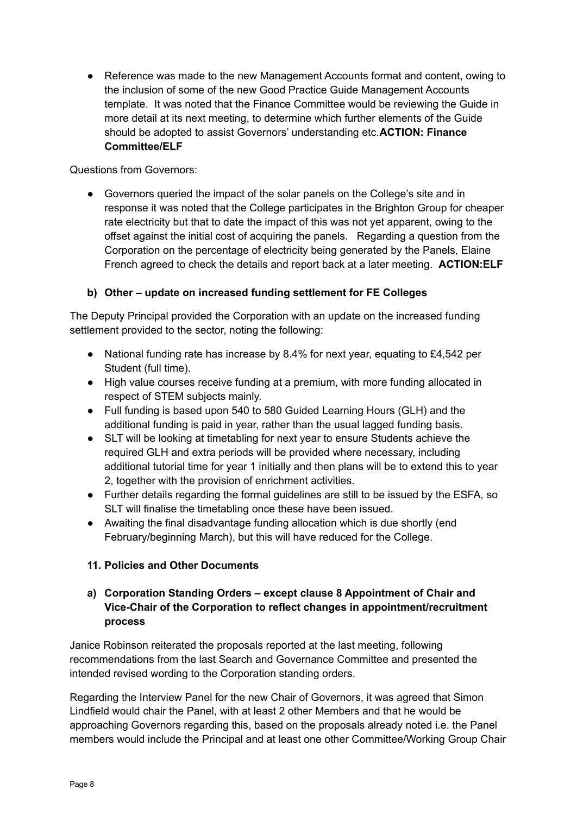● Reference was made to the new Management Accounts format and content, owing to the inclusion of some of the new Good Practice Guide Management Accounts template. It was noted that the Finance Committee would be reviewing the Guide in more detail at its next meeting, to determine which further elements of the Guide should be adopted to assist Governors' understanding etc.**ACTION: Finance Committee/ELF**

Questions from Governors:

**●** Governors queried the impact of the solar panels on the College's site and in response it was noted that the College participates in the Brighton Group for cheaper rate electricity but that to date the impact of this was not yet apparent, owing to the offset against the initial cost of acquiring the panels. Regarding a question from the Corporation on the percentage of electricity being generated by the Panels, Elaine French agreed to check the details and report back at a later meeting. **ACTION:ELF**

# **b) Other – update on increased funding settlement for FE Colleges**

The Deputy Principal provided the Corporation with an update on the increased funding settlement provided to the sector, noting the following:

- National funding rate has increase by 8.4% for next year, equating to £4,542 per Student (full time).
- High value courses receive funding at a premium, with more funding allocated in respect of STEM subjects mainly.
- Full funding is based upon 540 to 580 Guided Learning Hours (GLH) and the additional funding is paid in year, rather than the usual lagged funding basis.
- SLT will be looking at timetabling for next year to ensure Students achieve the required GLH and extra periods will be provided where necessary, including additional tutorial time for year 1 initially and then plans will be to extend this to year 2, together with the provision of enrichment activities.
- Further details regarding the formal guidelines are still to be issued by the ESFA, so SLT will finalise the timetabling once these have been issued.
- Awaiting the final disadvantage funding allocation which is due shortly (end February/beginning March), but this will have reduced for the College.

# **11. Policies and Other Documents**

# **a) Corporation Standing Orders – except clause 8 Appointment of Chair and Vice-Chair of the Corporation to reflect changes in appointment/recruitment process**

Janice Robinson reiterated the proposals reported at the last meeting, following recommendations from the last Search and Governance Committee and presented the intended revised wording to the Corporation standing orders.

Regarding the Interview Panel for the new Chair of Governors, it was agreed that Simon Lindfield would chair the Panel, with at least 2 other Members and that he would be approaching Governors regarding this, based on the proposals already noted i.e. the Panel members would include the Principal and at least one other Committee/Working Group Chair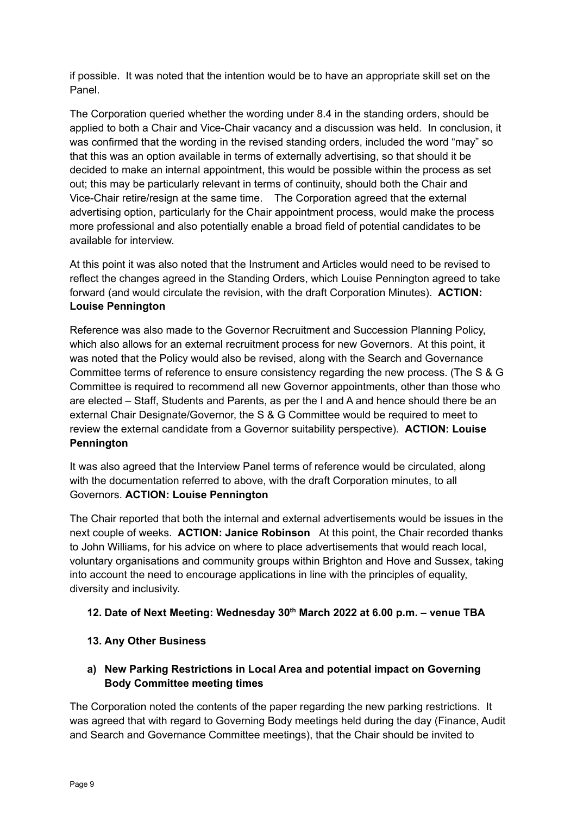if possible. It was noted that the intention would be to have an appropriate skill set on the Panel.

The Corporation queried whether the wording under 8.4 in the standing orders, should be applied to both a Chair and Vice-Chair vacancy and a discussion was held. In conclusion, it was confirmed that the wording in the revised standing orders, included the word "may" so that this was an option available in terms of externally advertising, so that should it be decided to make an internal appointment, this would be possible within the process as set out; this may be particularly relevant in terms of continuity, should both the Chair and Vice-Chair retire/resign at the same time. The Corporation agreed that the external advertising option, particularly for the Chair appointment process, would make the process more professional and also potentially enable a broad field of potential candidates to be available for interview.

At this point it was also noted that the Instrument and Articles would need to be revised to reflect the changes agreed in the Standing Orders, which Louise Pennington agreed to take forward (and would circulate the revision, with the draft Corporation Minutes). **ACTION: Louise Pennington**

Reference was also made to the Governor Recruitment and Succession Planning Policy, which also allows for an external recruitment process for new Governors. At this point, it was noted that the Policy would also be revised, along with the Search and Governance Committee terms of reference to ensure consistency regarding the new process. (The S & G Committee is required to recommend all new Governor appointments, other than those who are elected – Staff, Students and Parents, as per the I and A and hence should there be an external Chair Designate/Governor, the S & G Committee would be required to meet to review the external candidate from a Governor suitability perspective). **ACTION: Louise Pennington**

It was also agreed that the Interview Panel terms of reference would be circulated, along with the documentation referred to above, with the draft Corporation minutes, to all Governors. **ACTION: Louise Pennington**

The Chair reported that both the internal and external advertisements would be issues in the next couple of weeks. **ACTION: Janice Robinson** At this point, the Chair recorded thanks to John Williams, for his advice on where to place advertisements that would reach local, voluntary organisations and community groups within Brighton and Hove and Sussex, taking into account the need to encourage applications in line with the principles of equality, diversity and inclusivity.

# **12. Date of Next Meeting: Wednesday 30 th March 2022 at 6.00 p.m. – venue TBA**

# **13. Any Other Business**

# **a) New Parking Restrictions in Local Area and potential impact on Governing Body Committee meeting times**

The Corporation noted the contents of the paper regarding the new parking restrictions. It was agreed that with regard to Governing Body meetings held during the day (Finance, Audit and Search and Governance Committee meetings), that the Chair should be invited to